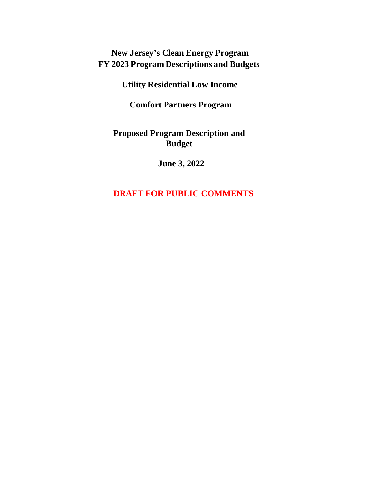# **New Jersey's Clean Energy Program FY 2023 Program Descriptions and Budgets**

**Utility Residential Low Income** 

**Comfort Partners Program**

**Proposed Program Description and Budget**

**June 3, 2022**

# **DRAFT FOR PUBLIC COMMENTS**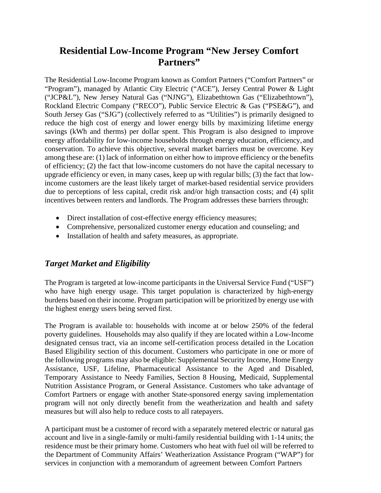# **Residential Low-Income Program "New Jersey Comfort Partners"**

The Residential Low-Income Program known as Comfort Partners ("Comfort Partners" or "Program"), managed by Atlantic City Electric ("ACE"), Jersey Central Power & Light ("JCP&L"), New Jersey Natural Gas ("NJNG"), Elizabethtown Gas ("Elizabethtown"), Rockland Electric Company ("RECO"), Public Service Electric & Gas ("PSE&G"), and South Jersey Gas ("SJG") (collectively referred to as "Utilities") is primarily designed to reduce the high cost of energy and lower energy bills by maximizing lifetime energy savings (kWh and therms) per dollar spent. This Program is also designed to improve energy affordability for low-income households through energy education, efficiency,and conservation. To achieve this objective, several market barriers must be overcome. Key among these are: (1) lack of information on either how to improve efficiency or the benefits of efficiency; (2) the fact that low-income customers do not have the capital necessary to upgrade efficiency or even, in many cases, keep up with regular bills; (3) the fact that lowincome customers are the least likely target of market-based residential service providers due to perceptions of less capital, credit risk and/or high transaction costs; and (4) split incentives between renters and landlords. The Program addresses these barriers through:

- Direct installation of cost-effective energy efficiency measures;
- Comprehensive, personalized customer energy education and counseling; and
- Installation of health and safety measures, as appropriate.

# *Target Market and Eligibility*

The Program is targeted at low-income participants in the Universal Service Fund ("USF") who have high energy usage. This target population is characterized by high-energy burdens based on their income. Program participation will be prioritized by energy use with the highest energy users being served first.

The Program is available to: households with income at or below 250% of the federal poverty guidelines. Households may also qualify if they are located within a Low-Income designated census tract, via an income self-certification process detailed in the Location Based Eligibility section of this document. Customers who participate in one or more of the following programs may also be eligible: Supplemental Security Income, Home Energy Assistance, USF, Lifeline, Pharmaceutical Assistance to the Aged and Disabled, Temporary Assistance to Needy Families, Section 8 Housing, Medicaid, Supplemental Nutrition Assistance Program, or General Assistance. Customers who take advantage of Comfort Partners or engage with another State-sponsored energy saving implementation program will not only directly benefit from the weatherization and health and safety measures but will also help to reduce costs to all ratepayers.

A participant must be a customer of record with a separately metered electric or natural gas account and live in a single-family or multi-family residential building with 1-14 units; the residence must be their primary home. Customers who heat with fuel oil will be referred to the Department of Community Affairs' Weatherization Assistance Program ("WAP") for services in conjunction with a memorandum of agreement between Comfort Partners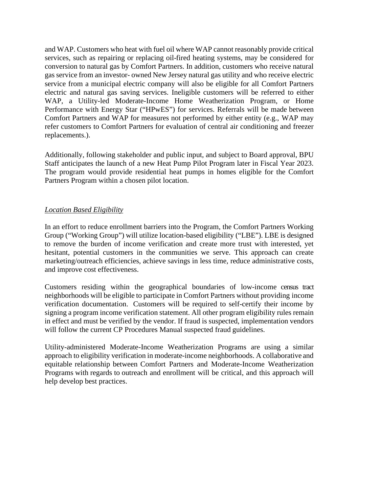and WAP. Customers who heat with fuel oil where WAP cannot reasonably provide critical services, such as repairing or replacing oil-fired heating systems, may be considered for conversion to natural gas by Comfort Partners. In addition, customers who receive natural gas service from an investor- owned New Jersey natural gas utility and who receive electric service from a municipal electric company will also be eligible for all Comfort Partners electric and natural gas saving services. Ineligible customers will be referred to either WAP, a Utility-led Moderate-Income Home Weatherization Program, or Home Performance with Energy Star ("HPwES") for services. Referrals will be made between Comfort Partners and WAP for measures not performed by either entity (e.g., WAP may refer customers to Comfort Partners for evaluation of central air conditioning and freezer replacements.).

Additionally, following stakeholder and public input, and subject to Board approval, BPU Staff anticipates the launch of a new Heat Pump Pilot Program later in Fiscal Year 2023. The program would provide residential heat pumps in homes eligible for the Comfort Partners Program within a chosen pilot location.

#### *Location Based Eligibility*

In an effort to reduce enrollment barriers into the Program, the Comfort Partners Working Group ("Working Group") will utilize location-based eligibility ("LBE"). LBE is designed to remove the burden of income verification and create more trust with interested, yet hesitant, potential customers in the communities we serve. This approach can create marketing/outreach efficiencies, achieve savings in less time, reduce administrative costs, and improve cost effectiveness.

Customers residing within the geographical boundaries of low-income census tract neighborhoods will be eligible to participate in Comfort Partners without providing income verification documentation. Customers will be required to self-certify their income by signing a program income verification statement. All other program eligibility rules remain in effect and must be verified by the vendor. If fraud is suspected, implementation vendors will follow the current CP Procedures Manual suspected fraud guidelines.

Utility-administered Moderate-Income Weatherization Programs are using a similar approach to eligibility verification in moderate-income neighborhoods. A collaborative and equitable relationship between Comfort Partners and Moderate-Income Weatherization Programs with regards to outreach and enrollment will be critical, and this approach will help develop best practices.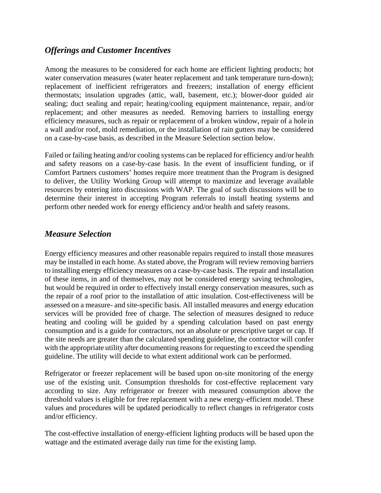## *Offerings and Customer Incentives*

Among the measures to be considered for each home are efficient lighting products; hot water conservation measures (water heater replacement and tank temperature turn-down); replacement of inefficient refrigerators and freezers; installation of energy efficient thermostats; insulation upgrades (attic, wall, basement, etc.); blower-door guided air sealing; duct sealing and repair; heating/cooling equipment maintenance, repair, and/or replacement; and other measures as needed. Removing barriers to installing energy efficiency measures, such as repair or replacement of a broken window, repair of a hole in a wall and/or roof, mold remediation, or the installation of rain gutters may be considered on a case-by-case basis, as described in the Measure Selection section below.

Failed or failing heating and/or cooling systems can be replaced for efficiency and/or health and safety reasons on a case-by-case basis. In the event of insufficient funding, or if Comfort Partners customers' homes require more treatment than the Program is designed to deliver, the Utility Working Group will attempt to maximize and leverage available resources by entering into discussions with WAP. The goal of such discussions will be to determine their interest in accepting Program referrals to install heating systems and perform other needed work for energy efficiency and/or health and safety reasons.

### *Measure Selection*

Energy efficiency measures and other reasonable repairs required to install those measures may be installed in each home. As stated above, the Program will review removing barriers to installing energy efficiency measures on a case-by-case basis. The repair and installation of these items, in and of themselves, may not be considered energy saving technologies, but would be required in order to effectively install energy conservation measures, such as the repair of a roof prior to the installation of attic insulation. Cost-effectiveness will be assessed on a measure- and site-specific basis. All installed measures and energy education services will be provided free of charge. The selection of measures designed to reduce heating and cooling will be guided by a spending calculation based on past energy consumption and is a guide for contractors, not an absolute or prescriptive target or cap. If the site needs are greater than the calculated spending guideline, the contractor will confer with the appropriate utility after documenting reasons for requesting to exceed the spending guideline. The utility will decide to what extent additional work can be performed.

Refrigerator or freezer replacement will be based upon on-site monitoring of the energy use of the existing unit. Consumption thresholds for cost-effective replacement vary according to size. Any refrigerator or freezer with measured consumption above the threshold values is eligible for free replacement with a new energy-efficient model. These values and procedures will be updated periodically to reflect changes in refrigerator costs and/or efficiency.

The cost-effective installation of energy-efficient lighting products will be based upon the wattage and the estimated average daily run time for the existing lamp.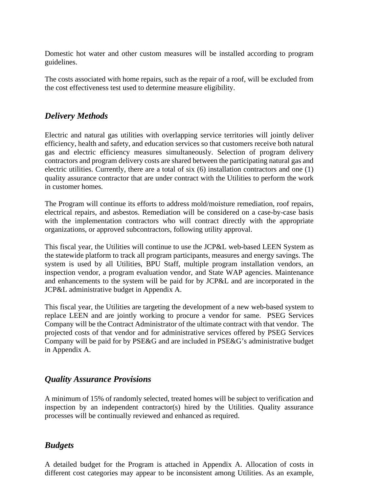Domestic hot water and other custom measures will be installed according to program guidelines.

The costs associated with home repairs, such as the repair of a roof, will be excluded from the cost effectiveness test used to determine measure eligibility.

# *Delivery Methods*

Electric and natural gas utilities with overlapping service territories will jointly deliver efficiency, health and safety, and education services so that customers receive both natural gas and electric efficiency measures simultaneously. Selection of program delivery contractors and program delivery costs are shared between the participating natural gas and electric utilities. Currently, there are a total of six (6) installation contractors and one (1) quality assurance contractor that are under contract with the Utilities to perform the work in customer homes.

The Program will continue its efforts to address mold/moisture remediation, roof repairs, electrical repairs, and asbestos. Remediation will be considered on a case-by-case basis with the implementation contractors who will contract directly with the appropriate organizations, or approved subcontractors, following utility approval.

This fiscal year, the Utilities will continue to use the JCP&L web-based LEEN System as the statewide platform to track all program participants, measures and energy savings. The system is used by all Utilities, BPU Staff, multiple program installation vendors, an inspection vendor, a program evaluation vendor, and State WAP agencies. Maintenance and enhancements to the system will be paid for by JCP&L and are incorporated in the JCP&L administrative budget in Appendix A.

This fiscal year, the Utilities are targeting the development of a new web-based system to replace LEEN and are jointly working to procure a vendor for same. PSEG Services Company will be the Contract Administrator of the ultimate contract with that vendor. The projected costs of that vendor and for administrative services offered by PSEG Services Company will be paid for by PSE&G and are included in PSE&G's administrative budget in Appendix A.

### *Quality Assurance Provisions*

A minimum of 15% of randomly selected, treated homes will be subject to verification and inspection by an independent contractor(s) hired by the Utilities. Quality assurance processes will be continually reviewed and enhanced as required.

### *Budgets*

A detailed budget for the Program is attached in Appendix A. Allocation of costs in different cost categories may appear to be inconsistent among Utilities. As an example,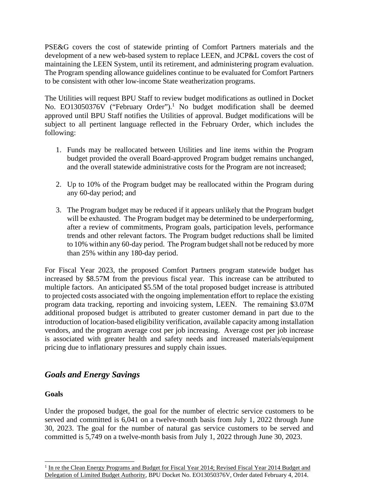PSE&G covers the cost of statewide printing of Comfort Partners materials and the development of a new web-based system to replace LEEN, and JCP&L covers the cost of maintaining the LEEN System, until its retirement, and administering program evaluation. The Program spending allowance guidelines continue to be evaluated for Comfort Partners to be consistent with other low-income State weatherization programs.

The Utilities will request BPU Staff to review budget modifications as outlined in Docket No. EO13050376V ("February Order").<sup>1</sup> No budget modification shall be deemed approved until BPU Staff notifies the Utilities of approval. Budget modifications will be subject to all pertinent language reflected in the February Order, which includes the following:

- 1. Funds may be reallocated between Utilities and line items within the Program budget provided the overall Board-approved Program budget remains unchanged, and the overall statewide administrative costs for the Program are not increased;
- 2. Up to 10% of the Program budget may be reallocated within the Program during any 60-day period; and
- 3. The Program budget may be reduced if it appears unlikely that the Program budget will be exhausted. The Program budget may be determined to be underperforming, after a review of commitments, Program goals, participation levels, performance trends and other relevant factors. The Program budget reductions shall be limited to 10% within any 60-day period. The Program budget shall not be reduced by more than 25% within any 180-day period.

For Fiscal Year 2023, the proposed Comfort Partners program statewide budget has increased by \$8.57M from the previous fiscal year. This increase can be attributed to multiple factors. An anticipated \$5.5M of the total proposed budget increase is attributed to projected costs associated with the ongoing implementation effort to replace the existing program data tracking, reporting and invoicing system, LEEN. The remaining \$3.07M additional proposed budget is attributed to greater customer demand in part due to the introduction of location-based eligibility verification, available capacity among installation vendors, and the program average cost per job increasing. Average cost per job increase is associated with greater health and safety needs and increased materials/equipment pricing due to inflationary pressures and supply chain issues.

### *Goals and Energy Savings*

#### **Goals**

Under the proposed budget, the goal for the number of electric service customers to be served and committed is 6,041 on a twelve-month basis from July 1, 2022 through June 30, 2023. The goal for the number of natural gas service customers to be served and committed is 5,749 on a twelve-month basis from July 1, 2022 through June 30, 2023.

<sup>&</sup>lt;sup>1</sup> In re the Clean Energy Programs and Budget for Fiscal Year 2014; Revised Fiscal Year 2014 Budget and Delegation of Limited Budget Authority, BPU Docket No. EO13050376V, Order dated February 4, 2014.